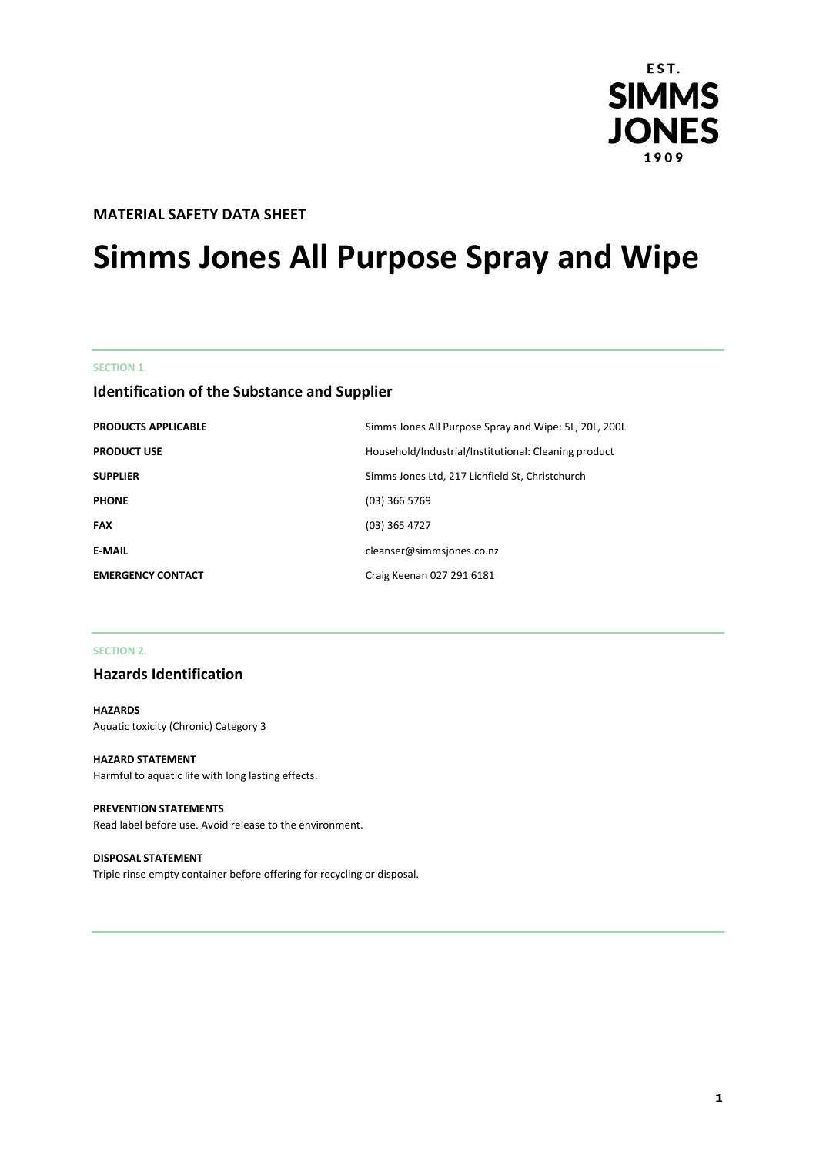

### **MATERIAL SAFETY DATA SHEET**

# **Simms Jones All Purpose Spray and Wipe**

#### **SECTION 1.**

### **Identification of the Substance and Supplier**

| <b>PRODUCTS APPLICABLE</b> | Simms Jones All Purpose Spray and Wipe: 5L, 20L, 200L |
|----------------------------|-------------------------------------------------------|
| <b>PRODUCT USE</b>         | Household/Industrial/Institutional: Cleaning product  |
| <b>SUPPLIER</b>            | Simms Jones Ltd, 217 Lichfield St, Christchurch       |
| <b>PHONE</b>               | $(03)$ 366 5769                                       |
| <b>FAX</b>                 | $(03)$ 365 4727                                       |
| <b>E-MAIL</b>              | cleanser@simmsjones.co.nz                             |
| <b>EMERGENCY CONTACT</b>   | Craig Keenan 027 291 6181                             |

### **SECTION 2.**

### **Hazards Identification**

### **HAZARDS** Aquatic toxicity (Chronic) Category 3

#### **HAZARD STATEMENT**

Harmful to aquatic life with long lasting effects.

#### **PREVENTION STATEMENTS**

Read label before use. Avoid release to the environment.

#### **DISPOSAL STATEMENT**

Triple rinse empty container before offering for recycling or disposal.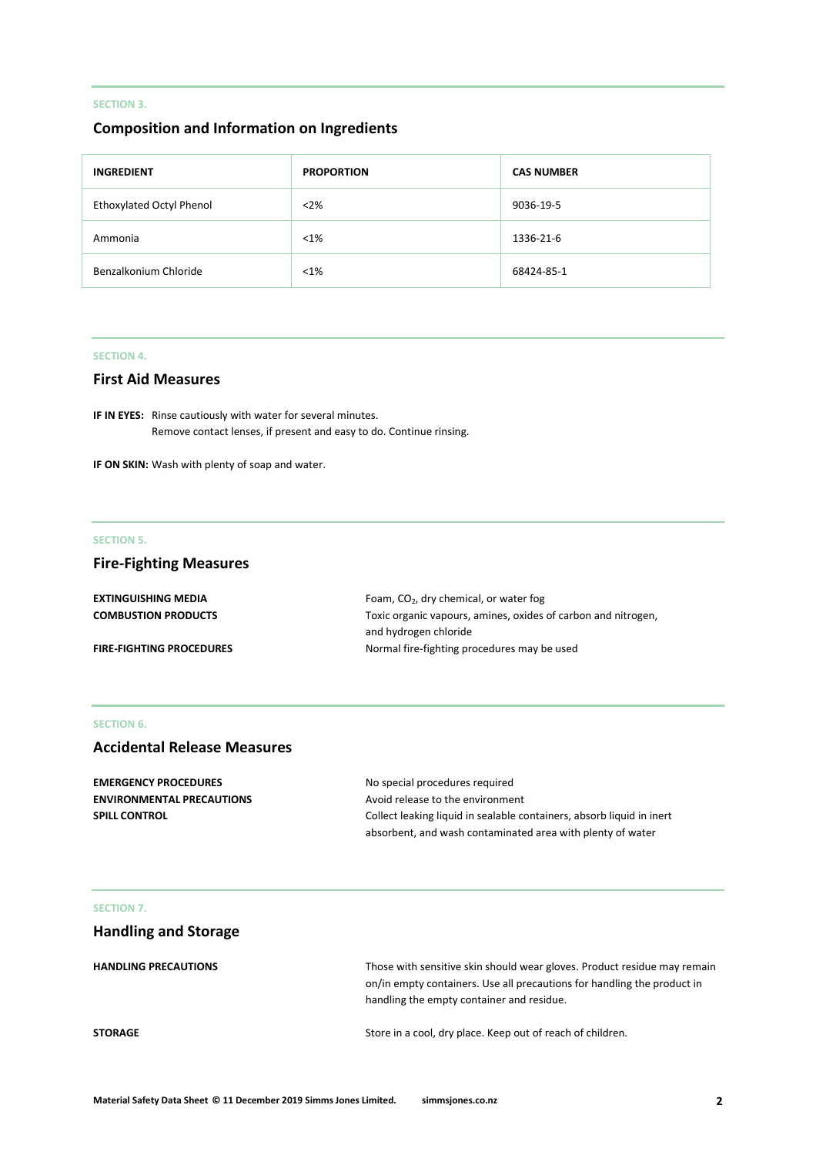### **SECTION 3.**

### **Composition and Information on Ingredients**

| <b>INGREDIENT</b>        | <b>PROPORTION</b> | <b>CAS NUMBER</b> |
|--------------------------|-------------------|-------------------|
| Ethoxylated Octyl Phenol | $<$ 2%            | 9036-19-5         |
| Ammonia                  | $< 1\%$           | 1336-21-6         |
| Benzalkonium Chloride    | $< 1\%$           | 68424-85-1        |

### **SECTION 4.**

### **First Aid Measures**

**IF IN EYES:** Rinse cautiously with water for several minutes. Remove contact lenses, if present and easy to do. Continue rinsing.

**IF ON SKIN:** Wash with plenty of soap and water.

#### **SECTION 5.**

### **Fire-Fighting Measures**

| <b>EXTINGUISHING MEDIA</b>      | Foam, $CO2$ , dry chemical, or water fog                      |
|---------------------------------|---------------------------------------------------------------|
| <b>COMBUSTION PRODUCTS</b>      | Toxic organic vapours, amines, oxides of carbon and nitrogen, |
|                                 | and hydrogen chloride                                         |
| <b>FIRE-FIGHTING PROCEDURES</b> | Normal fire-fighting procedures may be used                   |

#### **SECTION 6.**

### **Accidental Release Measures**

| <b>EMERGENCY PROCEDURES</b>      | No special procedures required                                        |
|----------------------------------|-----------------------------------------------------------------------|
| <b>ENVIRONMENTAL PRECAUTIONS</b> | Avoid release to the environment                                      |
| <b>SPILL CONTROL</b>             | Collect leaking liquid in sealable containers, absorb liquid in inert |
|                                  | absorbent, and wash contaminated area with plenty of water            |

#### **SECTION 7.**

## **Handling and Storage**

| <b>HANDLING PRECAUTIONS</b> | Those with sensitive skin should wear gloves. Product residue may remain |
|-----------------------------|--------------------------------------------------------------------------|
|                             | on/in empty containers. Use all precautions for handling the product in  |
|                             | handling the empty container and residue.                                |
| <b>STORAGE</b>              | Store in a cool, dry place. Keep out of reach of children.               |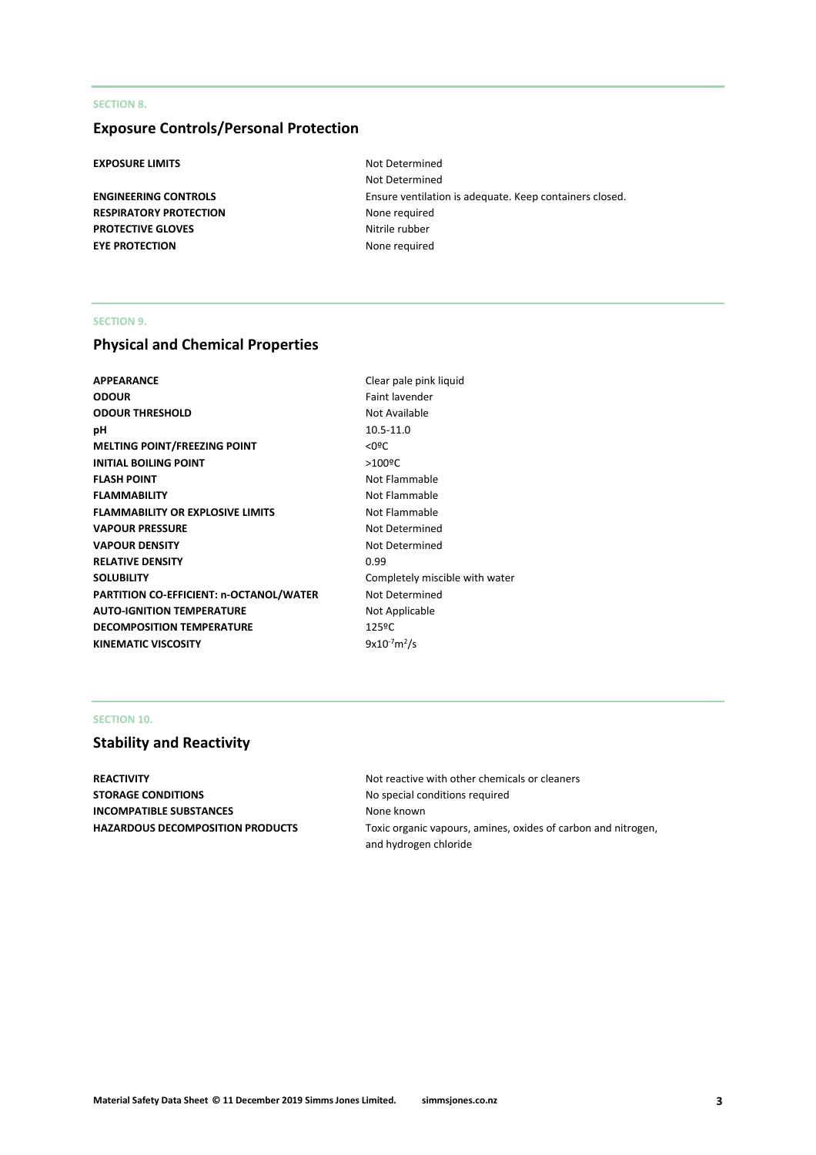#### **SECTION 8.**

### **Exposure Controls/Personal Protection**

### **EXPOSURE LIMITS** Not Determined

**RESPIRATORY PROTECTION** None required **PROTECTIVE GLOVES** Nitrile rubber **EYE PROTECTION** None required

Not Determined **ENGINEERING CONTROLS** Ensure ventilation is adequate. Keep containers closed.

### **SECTION 9.**

### **Physical and Chemical Properties**

| <b>APPEARANCE</b>                              | Clear pale pink liquid         |
|------------------------------------------------|--------------------------------|
| <b>ODOUR</b>                                   | Faint lavender                 |
| <b>ODOUR THRESHOLD</b>                         | Not Available                  |
| рH                                             | 10.5-11.0                      |
| <b>MELTING POINT/FREEZING POINT</b>            | $<$ 0ºC                        |
| <b>INITIAL BOILING POINT</b>                   | $>100$ <sup>o</sup> C          |
| <b>FLASH POINT</b>                             | Not Flammable                  |
| <b>FLAMMABILITY</b>                            | Not Flammable                  |
| <b>FLAMMABILITY OR EXPLOSIVE LIMITS</b>        | Not Flammable                  |
| <b>VAPOUR PRESSURE</b>                         | Not Determined                 |
| <b>VAPOUR DENSITY</b>                          | Not Determined                 |
| <b>RELATIVE DENSITY</b>                        | 0.99                           |
| <b>SOLUBILITY</b>                              | Completely miscible with water |
| <b>PARTITION CO-EFFICIENT: n-OCTANOL/WATER</b> | Not Determined                 |
| <b>AUTO-IGNITION TEMPERATURE</b>               | Not Applicable                 |
| <b>DECOMPOSITION TEMPERATURE</b>               | 125ºC                          |
| <b>KINEMATIC VISCOSITY</b>                     | $9x10^{-7}m^2/s$               |
|                                                |                                |

#### **SECTION 10.**

### **Stability and Reactivity**

**REACTIVITY Not reactive with other chemicals or cleaners Not reactive with other chemicals or cleaners STORAGE CONDITIONS** No special conditions required **INCOMPATIBLE SUBSTANCES** None known

**HAZARDOUS DECOMPOSITION PRODUCTS** Toxic organic vapours, amines, oxides of carbon and nitrogen, and hydrogen chloride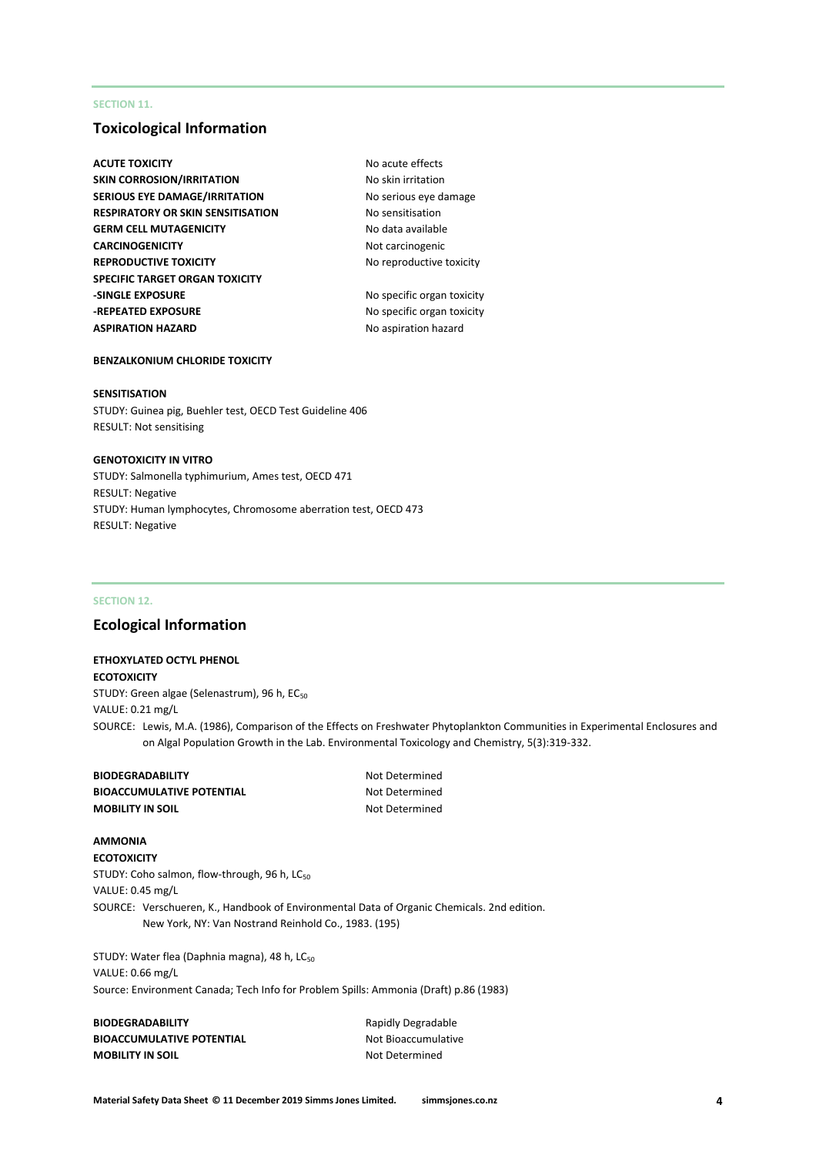#### **SECTION 11.**

### **Toxicological Information**

- **ACUTE TOXICITY** ACUTE **TOXICITY** ACUTE **NO** acute effects **SKIN CORROSION/IRRITATION** No skin irritation **SERIOUS EYE DAMAGE/IRRITATION** No serious eye damage **RESPIRATORY OR SKIN SENSITISATION No sensitisation GERM CELL MUTAGENICITY** No data available **CARCINOGENICITY** Not carcinogenic **REPRODUCTIVE TOXICITY** No reproductive toxicity **SPECIFIC TARGET ORGAN TOXICITY -SINGLE EXPOSURE** No specific organ toxicity **-REPEATED EXPOSURE** No specific organ toxicity **ASPIRATION HAZARD** No aspiration hazard
	-

#### **BENZALKONIUM CHLORIDE TOXICITY**

#### **SENSITISATION**

STUDY: Guinea pig, Buehler test, OECD Test Guideline 406 RESULT: Not sensitising

#### **GENOTOXICITY IN VITRO**

STUDY: Salmonella typhimurium, Ames test, OECD 471 RESULT: Negative STUDY: Human lymphocytes, Chromosome aberration test, OECD 473 RESULT: Negative

#### **SECTION 12.**

### **Ecological Information**

**ETHOXYLATED OCTYL PHENOL**

**ECOTOXICITY** STUDY: Green algae (Selenastrum), 96 h, EC<sub>50</sub> VALUE: 0.21 mg/L SOURCE: Lewis, M.A. (1986), Comparison of the Effects on Freshwater Phytoplankton Communities in Experimental Enclosures and on Algal Population Growth in the Lab. Environmental Toxicology and Chemistry, 5(3):319-332.

| <b>BIODEGRADABILITY</b>         |
|---------------------------------|
| <b>BIOACCUMULATIVE POTENTIA</b> |
| <b>MOBILITY IN SOIL</b>         |

**BIODEF** Not Determined **AL** Not Determined **Not Determined** 

#### **AMMONIA**

**ECOTOXICITY** STUDY: Coho salmon, flow-through, 96 h, LC<sub>50</sub> VALUE: 0.45 mg/L SOURCE: Verschueren, K., Handbook of Environmental Data of Organic Chemicals. 2nd edition. New York, NY: Van Nostrand Reinhold Co., 1983. (195)

STUDY: Water flea (Daphnia magna), 48 h, LC<sub>50</sub> VALUE: 0.66 mg/L Source: Environment Canada; Tech Info for Problem Spills: Ammonia (Draft) p.86 (1983)

| <b>BIODEGRADABILITY</b>          | Rapidly Degradable  |
|----------------------------------|---------------------|
| <b>BIOACCUMULATIVE POTENTIAL</b> | Not Bioaccumulative |
| <b>MOBILITY IN SOIL</b>          | Not Determined      |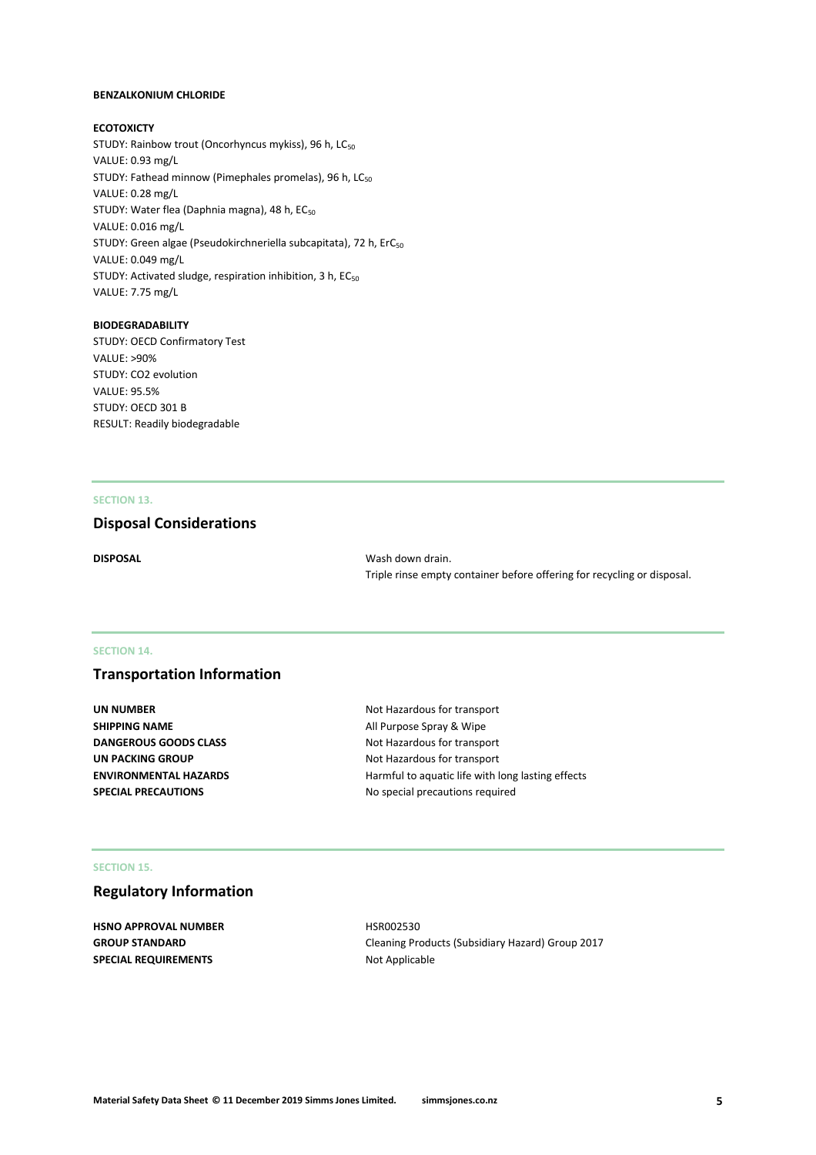#### **BENZALKONIUM CHLORIDE**

#### **ECOTOXICTY**

STUDY: Rainbow trout (Oncorhyncus mykiss), 96 h, LC<sub>50</sub> VALUE: 0.93 mg/L STUDY: Fathead minnow (Pimephales promelas), 96 h, LC<sub>50</sub> VALUE: 0.28 mg/L STUDY: Water flea (Daphnia magna), 48 h, EC<sub>50</sub> VALUE: 0.016 mg/L STUDY: Green algae (Pseudokirchneriella subcapitata), 72 h, ErC<sub>50</sub> VALUE: 0.049 mg/L STUDY: Activated sludge, respiration inhibition, 3 h, EC<sub>50</sub> VALUE: 7.75 mg/L

#### **BIODEGRADABILITY**

STUDY: OECD Confirmatory Test VALUE: >90% STUDY: CO2 evolution VALUE: 95.5% STUDY: OECD 301 B RESULT: Readily biodegradable

#### **SECTION 13.**

### **Disposal Considerations**

**DISPOSAL** Wash down drain. Triple rinse empty container before offering for recycling or disposal.

#### **SECTION 14.**

### **Transportation Information**

| UN NUMBER                    |
|------------------------------|
| SHIPPING NAME                |
| <b>DANGEROUS GOODS CLASS</b> |
| UN PACKING GROUP             |
| <b>ENVIRONMENTAL HAZARDS</b> |
| <b>SPECIAL PRECAUTIONS</b>   |

**UN NUMBER** Not Hazardous for transport **All Purpose Spray & Wipe Not Hazardous for transport** Not Hazardous for transport Harmful to aquatic life with long lasting effects **SPECIAL PRECAUTIONS** No special precautions required

#### **SECTION 15.**

### **Regulatory Information**

**HSNO APPROVAL NUMBER** HSR002530 **SPECIAL REQUIREMENTS** Not Applicable

**GROUP STANDARD** Cleaning Products (Subsidiary Hazard) Group 2017